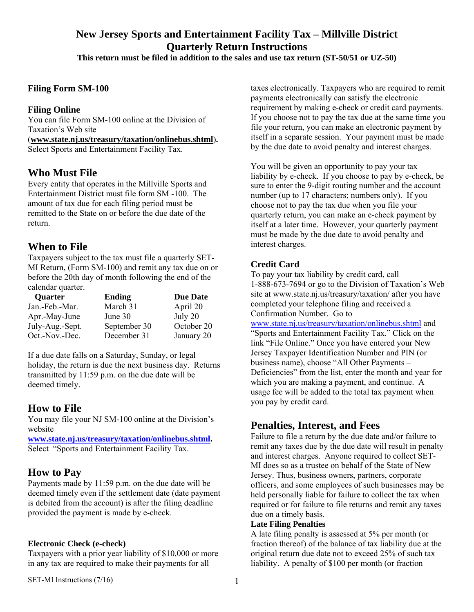# **New Jersey Sports and Entertainment Facility Tax – Millville District Quarterly Return Instructions**

**This return must be filed in addition to the sales and use tax return (ST-50/51 or UZ-50)** 

#### **Filing Form SM-100**

#### **Filing Online**

You can file Form SM-100 online at the Division of Taxation's Web site (**www.state.nj.us/treasury/taxation/onlinebus.shtml**)**.** Select Sports and Entertainment Facility Tax.

### **Who Must File**

Every entity that operates in the Millville Sports and Entertainment District must file form SM -100. The amount of tax due for each filing period must be remitted to the State on or before the due date of the return.

### **When to File**

Taxpayers subject to the tax must file a quarterly SET-MI Return, (Form SM-100) and remit any tax due on or before the 20th day of month following the end of the calendar quarter.

| <b>Quarter</b>  | <b>Ending</b> | <b>Due Date</b> |
|-----------------|---------------|-----------------|
| Jan.-Feb.-Mar.  | March 31      | April 20        |
| Apr.-May-June   | June 30       | July 20         |
| July-Aug.-Sept. | September 30  | October 20      |
| Oct.-Nov.-Dec.  | December 31   | January 20      |

If a due date falls on a Saturday, Sunday, or legal holiday, the return is due the next business day. Returns transmitted by 11:59 p.m. on the due date will be deemed timely.

### **How to File**

You may file your NJ SM-100 online at the Division's website

**www.state.nj.us/treasury/taxation/onlinebus.shtml.**  Select "Sports and Entertainment Facility Tax.

### **How to Pay**

Payments made by 11:59 p.m. on the due date will be deemed timely even if the settlement date (date payment is debited from the account) is after the filing deadline provided the payment is made by e-check.

#### **Electronic Check (e-check)**

Taxpayers with a prior year liability of \$10,000 or more in any tax are required to make their payments for all

taxes electronically. Taxpayers who are required to remit payments electronically can satisfy the electronic requirement by making e-check or credit card payments. If you choose not to pay the tax due at the same time you file your return, you can make an electronic payment by itself in a separate session. Your payment must be made by the due date to avoid penalty and interest charges.

You will be given an opportunity to pay your tax liability by e-check. If you choose to pay by e-check, be sure to enter the 9-digit routing number and the account number (up to 17 characters; numbers only). If you choose not to pay the tax due when you file your quarterly return, you can make an e-check payment by itself at a later time. However, your quarterly payment must be made by the due date to avoid penalty and interest charges.

#### **Credit Card**

To pay your tax liability by credit card, call 1-888-673-7694 or go to the Division of Taxation's Web site at www.state.nj.us/treasury/taxation/ after you have completed your telephone filing and received a Confirmation Number. Go to www.state.nj.us/treasury/taxation/onlinebus.shtml and "Sports and Entertainment Facility Tax." Click on the link "File Online." Once you have entered your New Jersey Taxpayer Identification Number and PIN (or business name), choose "All Other Payments –

Deficiencies" from the list, enter the month and year for which you are making a payment, and continue. A usage fee will be added to the total tax payment when you pay by credit card.

### **Penalties, Interest, and Fees**

Failure to file a return by the due date and/or failure to remit any taxes due by the due date will result in penalty and interest charges. Anyone required to collect SET-MI does so as a trustee on behalf of the State of New Jersey. Thus, business owners, partners, corporate officers, and some employees of such businesses may be held personally liable for failure to collect the tax when required or for failure to file returns and remit any taxes due on a timely basis.

#### **Late Filing Penalties**

A late filing penalty is assessed at 5% per month (or fraction thereof) of the balance of tax liability due at the original return due date not to exceed 25% of such tax liability. A penalty of \$100 per month (or fraction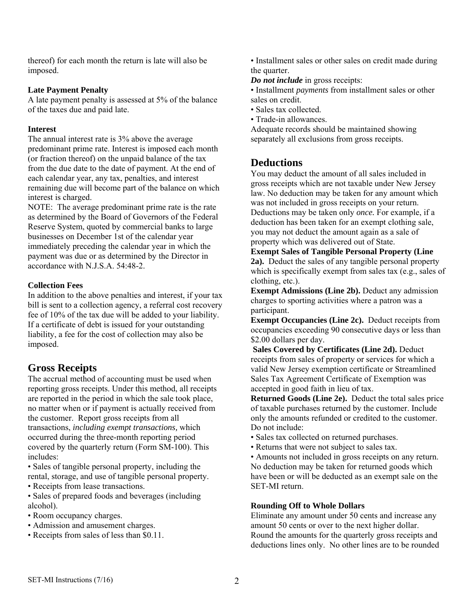thereof) for each month the return is late will also be imposed.

#### **Late Payment Penalty**

A late payment penalty is assessed at 5% of the balance of the taxes due and paid late.

#### **Interest**

The annual interest rate is 3% above the average predominant prime rate. Interest is imposed each month (or fraction thereof) on the unpaid balance of the tax from the due date to the date of payment. At the end of each calendar year, any tax, penalties, and interest remaining due will become part of the balance on which interest is charged.

NOTE: The average predominant prime rate is the rate as determined by the Board of Governors of the Federal Reserve System, quoted by commercial banks to large businesses on December 1st of the calendar year immediately preceding the calendar year in which the payment was due or as determined by the Director in accordance with N.J.S.A. 54:48-2.

#### **Collection Fees**

In addition to the above penalties and interest, if your tax bill is sent to a collection agency, a referral cost recovery fee of 10% of the tax due will be added to your liability. If a certificate of debt is issued for your outstanding liability, a fee for the cost of collection may also be imposed.

# **Gross Receipts**

The accrual method of accounting must be used when reporting gross receipts. Under this method, all receipts are reported in the period in which the sale took place, no matter when or if payment is actually received from the customer. Report gross receipts from all transactions, *including exempt transactions,* which occurred during the three-month reporting period covered by the quarterly return (Form SM-100). This includes:

• Sales of tangible personal property, including the rental, storage, and use of tangible personal property.

• Receipts from lease transactions.

• Sales of prepared foods and beverages (including alcohol).

- Room occupancy charges.
- Admission and amusement charges.
- Receipts from sales of less than \$0.11.

• Installment sales or other sales on credit made during the quarter.

#### *Do not include* in gross receipts:

• Installment *payments* from installment sales or other sales on credit.

- Sales tax collected.
- Trade-in allowances.

Adequate records should be maintained showing separately all exclusions from gross receipts.

### **Deductions**

You may deduct the amount of all sales included in gross receipts which are not taxable under New Jersey law. No deduction may be taken for any amount which was not included in gross receipts on your return. Deductions may be taken only *once.* For example, if a deduction has been taken for an exempt clothing sale, you may not deduct the amount again as a sale of property which was delivered out of State.

**Exempt Sales of Tangible Personal Property (Line 2a).** Deduct the sales of any tangible personal property which is specifically exempt from sales tax (e.g., sales of clothing, etc.).

**Exempt Admissions (Line 2b).** Deduct any admission charges to sporting activities where a patron was a participant.

**Exempt Occupancies (Line 2c).** Deduct receipts from occupancies exceeding 90 consecutive days or less than \$2.00 dollars per day.

 **Sales Covered by Certificates (Line 2d).** Deduct receipts from sales of property or services for which a valid New Jersey exemption certificate or Streamlined Sales Tax Agreement Certificate of Exemption was accepted in good faith in lieu of tax.

**Returned Goods (Line 2e).** Deduct the total sales price of taxable purchases returned by the customer. Include only the amounts refunded or credited to the customer. Do not include:

- Sales tax collected on returned purchases.
- Returns that were not subject to sales tax.

• Amounts not included in gross receipts on any return. No deduction may be taken for returned goods which have been or will be deducted as an exempt sale on the SET-MI return.

#### **Rounding Off to Whole Dollars**

Eliminate any amount under 50 cents and increase any amount 50 cents or over to the next higher dollar. Round the amounts for the quarterly gross receipts and deductions lines only. No other lines are to be rounded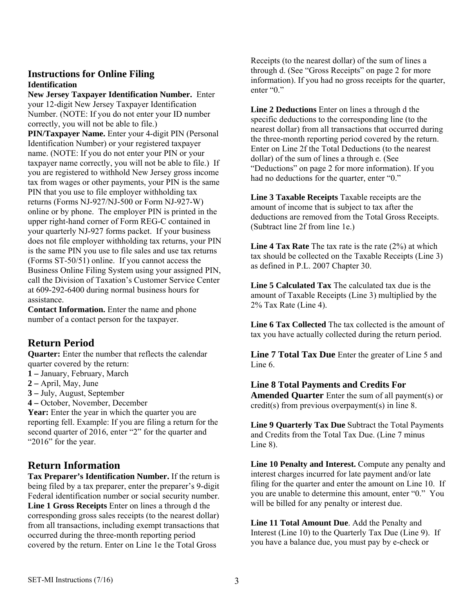#### **Instructions for Online Filing Identification**

**New Jersey Taxpayer Identification Number.** Enter your 12-digit New Jersey Taxpayer Identification Number. (NOTE: If you do not enter your ID number correctly, you will not be able to file.)

**PIN/Taxpayer Name.** Enter your 4-digit PIN (Personal Identification Number) or your registered taxpayer name. (NOTE: If you do not enter your PIN or your taxpayer name correctly, you will not be able to file.) If you are registered to withhold New Jersey gross income tax from wages or other payments, your PIN is the same PIN that you use to file employer withholding tax returns (Forms NJ-927/NJ-500 or Form NJ-927-W) online or by phone. The employer PIN is printed in the upper right-hand corner of Form REG-C contained in your quarterly NJ-927 forms packet. If your business does not file employer withholding tax returns, your PIN is the same PIN you use to file sales and use tax returns (Forms ST-50/51) online. If you cannot access the Business Online Filing System using your assigned PIN, call the Division of Taxation's Customer Service Center at 609-292-6400 during normal business hours for assistance.

**Contact Information.** Enter the name and phone number of a contact person for the taxpayer.

# **Return Period**

**Quarter:** Enter the number that reflects the calendar quarter covered by the return:

- **1** January, February, March
- **2** April, May, June
- **3** July, August, September
- **4** October, November, December

Year: Enter the year in which the quarter you are reporting fell. Example: If you are filing a return for the second quarter of 2016, enter "2" for the quarter and "2016" for the year.

### **Return Information**

**Tax Preparer's Identification Number.** If the return is being filed by a tax preparer, enter the preparer's 9-digit Federal identification number or social security number. **Line 1 Gross Receipts** Enter on lines a through d the corresponding gross sales receipts (to the nearest dollar) from all transactions, including exempt transactions that occurred during the three-month reporting period covered by the return. Enter on Line 1e the Total Gross

Receipts (to the nearest dollar) of the sum of lines a through d. (See "Gross Receipts" on page 2 for more information). If you had no gross receipts for the quarter, enter "0."

**Line 2 Deductions** Enter on lines a through d the specific deductions to the corresponding line (to the nearest dollar) from all transactions that occurred during the three-month reporting period covered by the return. Enter on Line 2f the Total Deductions (to the nearest dollar) of the sum of lines a through e. (See "Deductions" on page 2 for more information). If you had no deductions for the quarter, enter "0."

**Line 3 Taxable Receipts** Taxable receipts are the amount of income that is subject to tax after the deductions are removed from the Total Gross Receipts. (Subtract line 2f from line 1e.)

**Line 4 Tax Rate** The tax rate is the rate (2%) at which tax should be collected on the Taxable Receipts (Line 3) as defined in P.L. 2007 Chapter 30.

**Line 5 Calculated Tax** The calculated tax due is the amount of Taxable Receipts (Line 3) multiplied by the 2% Tax Rate (Line 4).

**Line 6 Tax Collected** The tax collected is the amount of tax you have actually collected during the return period.

**Line 7 Total Tax Due** Enter the greater of Line 5 and Line 6.

#### **Line 8 Total Payments and Credits For**

**Amended Quarter** Enter the sum of all payment(s) or credit(s) from previous overpayment(s) in line 8.

**Line 9 Quarterly Tax Due** Subtract the Total Payments and Credits from the Total Tax Due. (Line 7 minus Line 8).

**Line 10 Penalty and Interest.** Compute any penalty and interest charges incurred for late payment and/or late filing for the quarter and enter the amount on Line 10. If you are unable to determine this amount, enter "0." You will be billed for any penalty or interest due.

**Line 11 Total Amount Due**. Add the Penalty and Interest (Line 10) to the Quarterly Tax Due (Line 9). If you have a balance due, you must pay by e-check or